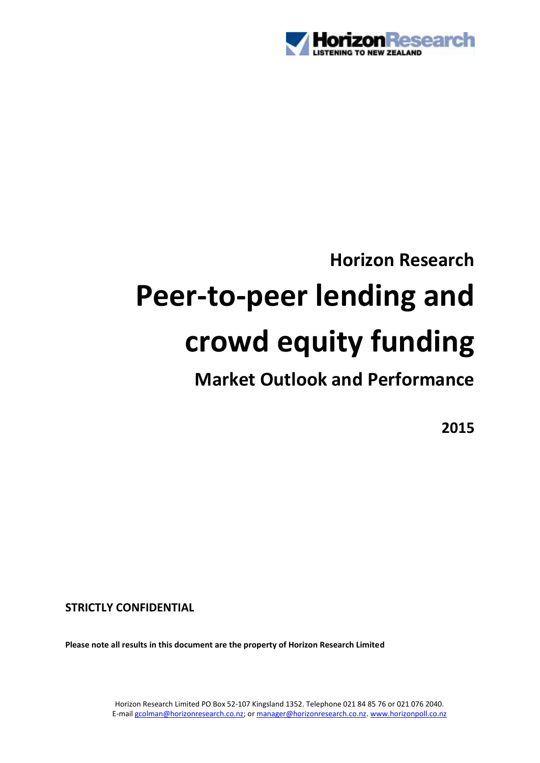

# **Horizon Research Peer-to-peer lending and crowd equity funding**

## **Market Outlook and Performance**

**2015**

**STRICTLY CONFIDENTIAL**

**Please note all results in this document are the property of Horizon Research Limited**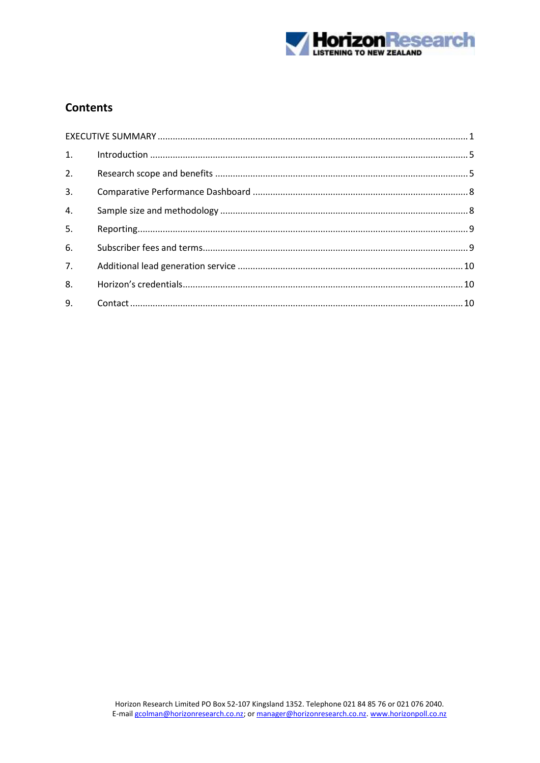

## **Contents**

| 1.               |  |  |
|------------------|--|--|
| 2.               |  |  |
| 3.               |  |  |
| $\overline{4}$ . |  |  |
| 5.               |  |  |
| 6.               |  |  |
| 7 <sub>1</sub>   |  |  |
| 8.               |  |  |
| 9.               |  |  |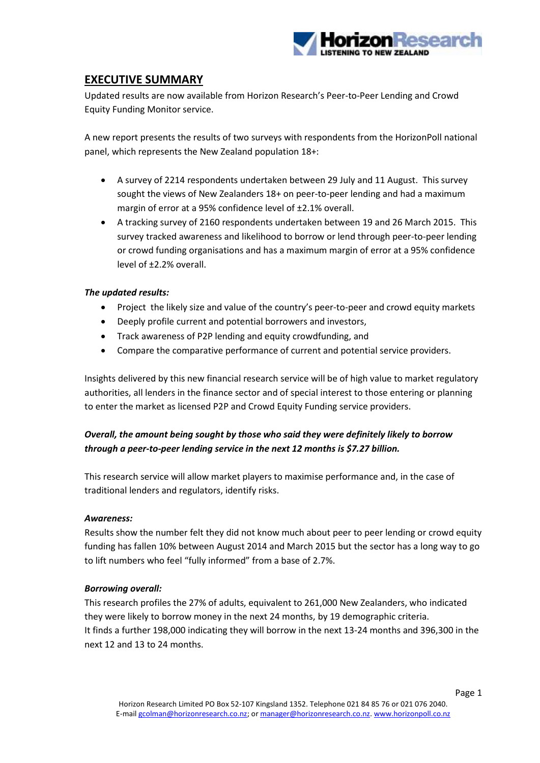

## <span id="page-2-0"></span>**EXECUTIVE SUMMARY**

Updated results are now available from Horizon Research's Peer-to-Peer Lending and Crowd Equity Funding Monitor service.

A new report presents the results of two surveys with respondents from the HorizonPoll national panel, which represents the New Zealand population 18+:

- A survey of 2214 respondents undertaken between 29 July and 11 August. This survey sought the views of New Zealanders 18+ on peer-to-peer lending and had a maximum margin of error at a 95% confidence level of ±2.1% overall.
- A tracking survey of 2160 respondents undertaken between 19 and 26 March 2015. This survey tracked awareness and likelihood to borrow or lend through peer-to-peer lending or crowd funding organisations and has a maximum margin of error at a 95% confidence level of ±2.2% overall.

#### *The updated results:*

- Project the likely size and value of the country's peer-to-peer and crowd equity markets
- Deeply profile current and potential borrowers and investors,
- Track awareness of P2P lending and equity crowdfunding, and
- Compare the comparative performance of current and potential service providers.

Insights delivered by this new financial research service will be of high value to market regulatory authorities, all lenders in the finance sector and of special interest to those entering or planning to enter the market as licensed P2P and Crowd Equity Funding service providers.

### *Overall, the amount being sought by those who said they were definitely likely to borrow through a peer-to-peer lending service in the next 12 months is \$7.27 billion.*

This research service will allow market players to maximise performance and, in the case of traditional lenders and regulators, identify risks.

#### *Awareness:*

Results show the number felt they did not know much about peer to peer lending or crowd equity funding has fallen 10% between August 2014 and March 2015 but the sector has a long way to go to lift numbers who feel "fully informed" from a base of 2.7%.

#### *Borrowing overall:*

This research profiles the 27% of adults, equivalent to 261,000 New Zealanders, who indicated they were likely to borrow money in the next 24 months, by 19 demographic criteria. It finds a further 198,000 indicating they will borrow in the next 13-24 months and 396,300 in the next 12 and 13 to 24 months.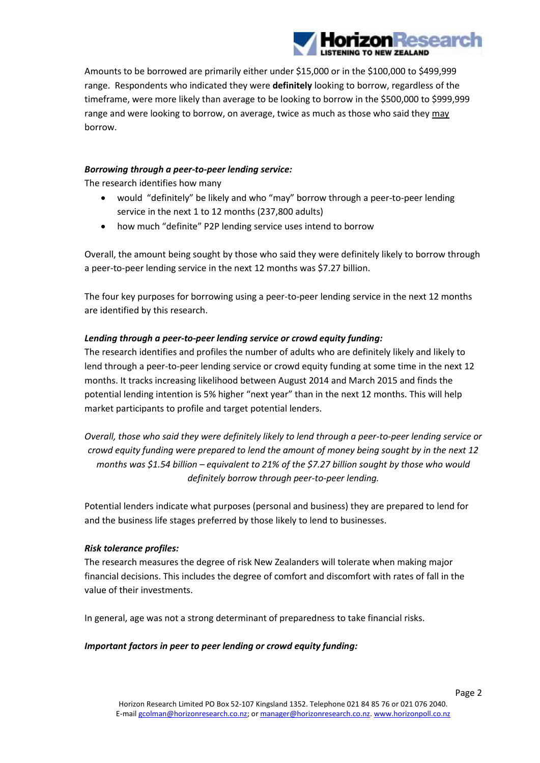

Amounts to be borrowed are primarily either under \$15,000 or in the \$100,000 to \$499,999 range. Respondents who indicated they were **definitely** looking to borrow, regardless of the timeframe, were more likely than average to be looking to borrow in the \$500,000 to \$999,999 range and were looking to borrow, on average, twice as much as those who said they may borrow.

#### *Borrowing through a peer-to-peer lending service:*

The research identifies how many

- would "definitely" be likely and who "may" borrow through a peer-to-peer lending service in the next 1 to 12 months (237,800 adults)
- how much "definite" P2P lending service uses intend to borrow

Overall, the amount being sought by those who said they were definitely likely to borrow through a peer-to-peer lending service in the next 12 months was \$7.27 billion.

The four key purposes for borrowing using a peer-to-peer lending service in the next 12 months are identified by this research.

#### *Lending through a peer-to-peer lending service or crowd equity funding:*

The research identifies and profiles the number of adults who are definitely likely and likely to lend through a peer-to-peer lending service or crowd equity funding at some time in the next 12 months. It tracks increasing likelihood between August 2014 and March 2015 and finds the potential lending intention is 5% higher "next year" than in the next 12 months. This will help market participants to profile and target potential lenders.

*Overall, those who said they were definitely likely to lend through a peer-to-peer lending service or crowd equity funding were prepared to lend the amount of money being sought by in the next 12 months was \$1.54 billion – equivalent to 21% of the \$7.27 billion sought by those who would definitely borrow through peer-to-peer lending.*

Potential lenders indicate what purposes (personal and business) they are prepared to lend for and the business life stages preferred by those likely to lend to businesses.

#### *Risk tolerance profiles:*

The research measures the degree of risk New Zealanders will tolerate when making major financial decisions. This includes the degree of comfort and discomfort with rates of fall in the value of their investments.

In general, age was not a strong determinant of preparedness to take financial risks.

#### *Important factors in peer to peer lending or crowd equity funding:*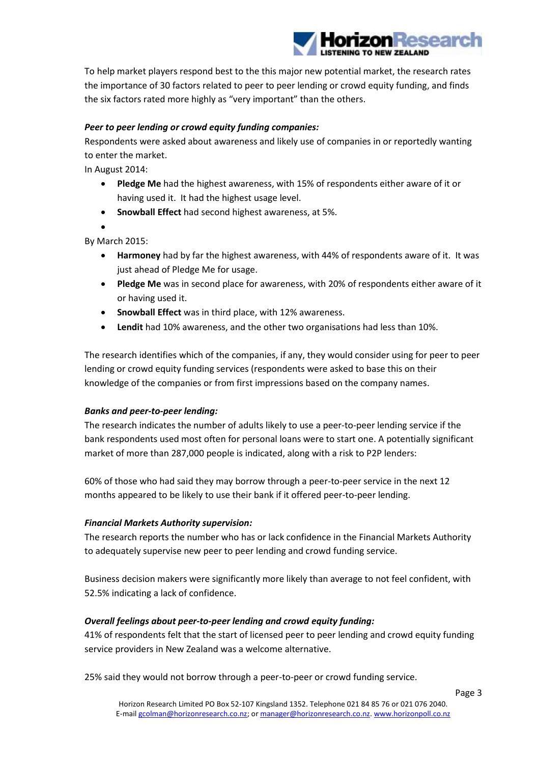

To help market players respond best to the this major new potential market, the research rates the importance of 30 factors related to peer to peer lending or crowd equity funding, and finds the six factors rated more highly as "very important" than the others.

#### *Peer to peer lending or crowd equity funding companies:*

Respondents were asked about awareness and likely use of companies in or reportedly wanting to enter the market.

In August 2014:

- **Pledge Me** had the highest awareness, with 15% of respondents either aware of it or having used it. It had the highest usage level.
- **Snowball Effect** had second highest awareness, at 5%.
- $\bullet$

By March 2015:

- **Harmoney** had by far the highest awareness, with 44% of respondents aware of it. It was just ahead of Pledge Me for usage.
- **Pledge Me** was in second place for awareness, with 20% of respondents either aware of it or having used it.
- **Snowball Effect** was in third place, with 12% awareness.
- **Lendit** had 10% awareness, and the other two organisations had less than 10%.

The research identifies which of the companies, if any, they would consider using for peer to peer lending or crowd equity funding services (respondents were asked to base this on their knowledge of the companies or from first impressions based on the company names.

#### *Banks and peer-to-peer lending:*

The research indicates the number of adults likely to use a peer-to-peer lending service if the bank respondents used most often for personal loans were to start one. A potentially significant market of more than 287,000 people is indicated, along with a risk to P2P lenders:

60% of those who had said they may borrow through a peer-to-peer service in the next 12 months appeared to be likely to use their bank if it offered peer-to-peer lending.

#### *Financial Markets Authority supervision:*

The research reports the number who has or lack confidence in the Financial Markets Authority to adequately supervise new peer to peer lending and crowd funding service.

Business decision makers were significantly more likely than average to not feel confident, with 52.5% indicating a lack of confidence.

#### *Overall feelings about peer-to-peer lending and crowd equity funding:*

41% of respondents felt that the start of licensed peer to peer lending and crowd equity funding service providers in New Zealand was a welcome alternative.

25% said they would not borrow through a peer-to-peer or crowd funding service.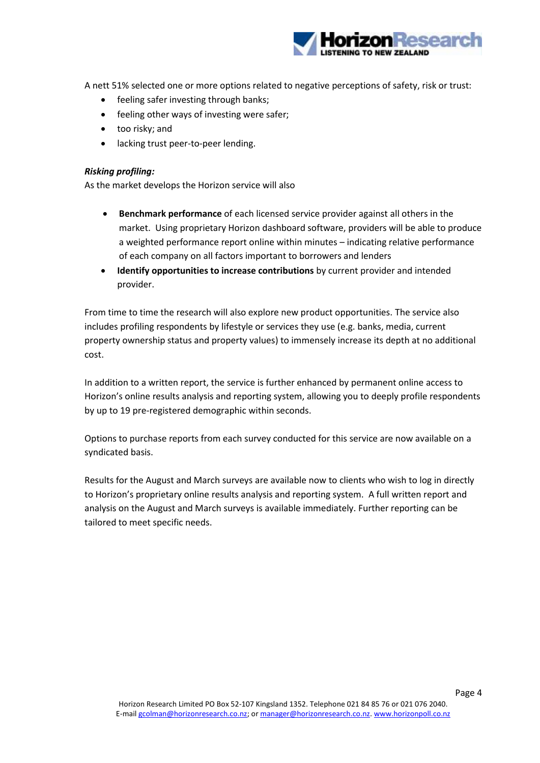

A nett 51% selected one or more options related to negative perceptions of safety, risk or trust:

- feeling safer investing through banks;
- feeling other ways of investing were safer;
- too risky; and
- lacking trust peer-to-peer lending.

#### *Risking profiling:*

As the market develops the Horizon service will also

- **Benchmark performance** of each licensed service provider against all others in the market. Using proprietary Horizon dashboard software, providers will be able to produce a weighted performance report online within minutes – indicating relative performance of each company on all factors important to borrowers and lenders
- **Identify opportunities to increase contributions** by current provider and intended provider.

From time to time the research will also explore new product opportunities. The service also includes profiling respondents by lifestyle or services they use (e.g. banks, media, current property ownership status and property values) to immensely increase its depth at no additional cost.

In addition to a written report, the service is further enhanced by permanent online access to Horizon's online results analysis and reporting system, allowing you to deeply profile respondents by up to 19 pre-registered demographic within seconds.

Options to purchase reports from each survey conducted for this service are now available on a syndicated basis.

Results for the August and March surveys are available now to clients who wish to log in directly to Horizon's proprietary online results analysis and reporting system. A full written report and analysis on the August and March surveys is available immediately. Further reporting can be tailored to meet specific needs.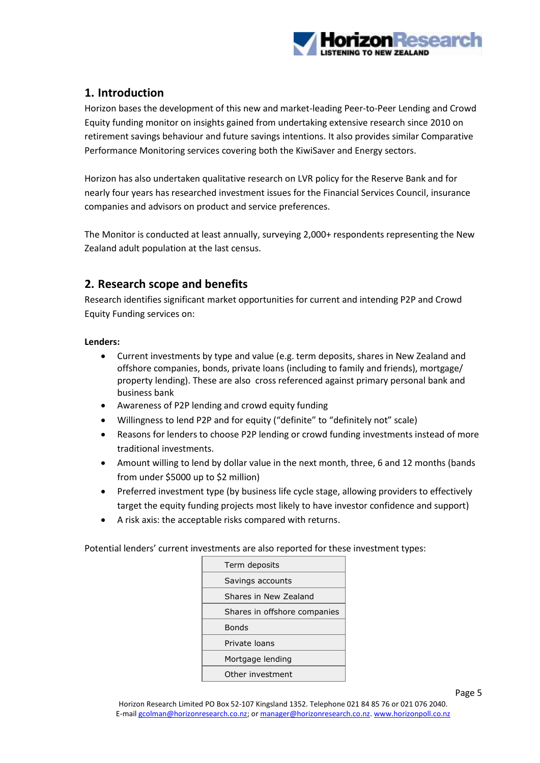

## <span id="page-6-0"></span>**1. Introduction**

Horizon bases the development of this new and market-leading Peer-to-Peer Lending and Crowd Equity funding monitor on insights gained from undertaking extensive research since 2010 on retirement savings behaviour and future savings intentions. It also provides similar Comparative Performance Monitoring services covering both the KiwiSaver and Energy sectors.

Horizon has also undertaken qualitative research on LVR policy for the Reserve Bank and for nearly four years has researched investment issues for the Financial Services Council, insurance companies and advisors on product and service preferences.

The Monitor is conducted at least annually, surveying 2,000+ respondents representing the New Zealand adult population at the last census.

## <span id="page-6-1"></span>**2. Research scope and benefits**

Research identifies significant market opportunities for current and intending P2P and Crowd Equity Funding services on:

#### **Lenders:**

- Current investments by type and value (e.g. term deposits, shares in New Zealand and offshore companies, bonds, private loans (including to family and friends), mortgage/ property lending). These are also cross referenced against primary personal bank and business bank
- Awareness of P2P lending and crowd equity funding
- Willingness to lend P2P and for equity ("definite" to "definitely not" scale)
- Reasons for lenders to choose P2P lending or crowd funding investments instead of more traditional investments.
- Amount willing to lend by dollar value in the next month, three, 6 and 12 months (bands from under \$5000 up to \$2 million)
- Preferred investment type (by business life cycle stage, allowing providers to effectively target the equity funding projects most likely to have investor confidence and support)
- A risk axis: the acceptable risks compared with returns.

Potential lenders' current investments are also reported for these investment types:

| Term deposits                |  |
|------------------------------|--|
| Savings accounts             |  |
| Shares in New Zealand        |  |
| Shares in offshore companies |  |
| <b>Bonds</b>                 |  |
| Private loans                |  |
| Mortgage lending             |  |
| Other investment             |  |
|                              |  |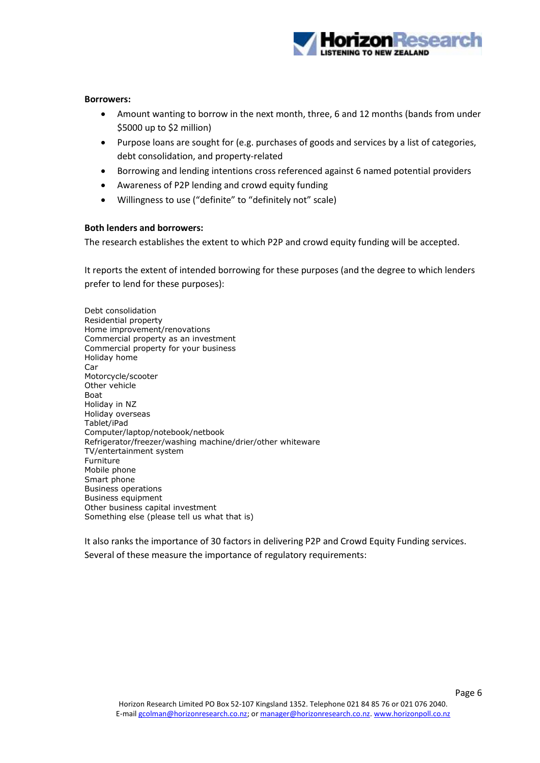

#### **Borrowers:**

- Amount wanting to borrow in the next month, three, 6 and 12 months (bands from under \$5000 up to \$2 million)
- Purpose loans are sought for (e.g. purchases of goods and services by a list of categories, debt consolidation, and property-related
- Borrowing and lending intentions cross referenced against 6 named potential providers
- Awareness of P2P lending and crowd equity funding
- Willingness to use ("definite" to "definitely not" scale)

#### **Both lenders and borrowers:**

The research establishes the extent to which P2P and crowd equity funding will be accepted.

It reports the extent of intended borrowing for these purposes (and the degree to which lenders prefer to lend for these purposes):

Debt consolidation Residential property Home improvement/renovations Commercial property as an investment Commercial property for your business Holiday home Car Motorcycle/scooter Other vehicle Boat Holiday in NZ Holiday overseas Tablet/iPad Computer/laptop/notebook/netbook Refrigerator/freezer/washing machine/drier/other whiteware TV/entertainment system Furniture Mobile phone Smart phone Business operations Business equipment Other business capital investment Something else (please tell us what that is)

It also ranks the importance of 30 factors in delivering P2P and Crowd Equity Funding services. Several of these measure the importance of regulatory requirements: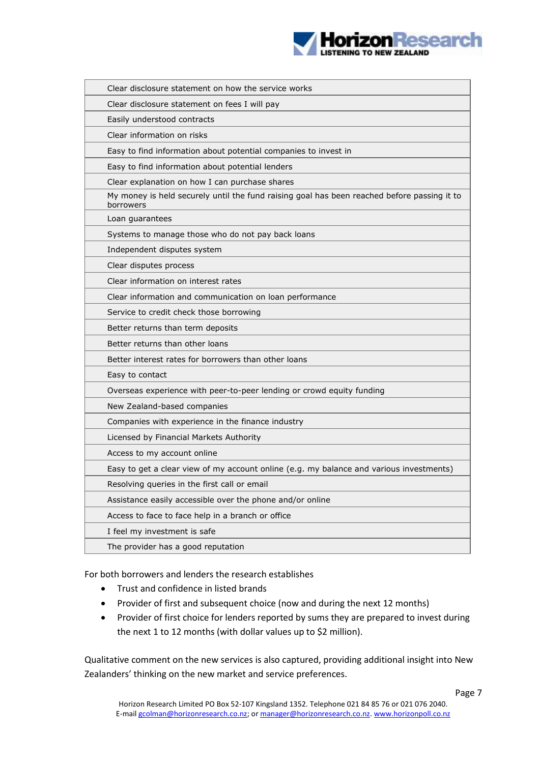

| Clear disclosure statement on how the service works                                                      |
|----------------------------------------------------------------------------------------------------------|
| Clear disclosure statement on fees I will pay                                                            |
| Easily understood contracts                                                                              |
| Clear information on risks                                                                               |
| Easy to find information about potential companies to invest in                                          |
| Easy to find information about potential lenders                                                         |
| Clear explanation on how I can purchase shares                                                           |
| My money is held securely until the fund raising goal has been reached before passing it to<br>borrowers |
| Loan guarantees                                                                                          |
| Systems to manage those who do not pay back loans                                                        |
| Independent disputes system                                                                              |
| Clear disputes process                                                                                   |
| Clear information on interest rates                                                                      |
| Clear information and communication on loan performance                                                  |
| Service to credit check those borrowing                                                                  |
| Better returns than term deposits                                                                        |
| Better returns than other loans                                                                          |
| Better interest rates for borrowers than other loans                                                     |
| Easy to contact                                                                                          |
| Overseas experience with peer-to-peer lending or crowd equity funding                                    |
| New Zealand-based companies                                                                              |
| Companies with experience in the finance industry                                                        |
| Licensed by Financial Markets Authority                                                                  |
| Access to my account online                                                                              |
| Easy to get a clear view of my account online (e.g. my balance and various investments)                  |
| Resolving queries in the first call or email                                                             |
| Assistance easily accessible over the phone and/or online                                                |
| Access to face to face help in a branch or office                                                        |
| I feel my investment is safe                                                                             |
| The provider has a good reputation                                                                       |
|                                                                                                          |

For both borrowers and lenders the research establishes

- Trust and confidence in listed brands
- Provider of first and subsequent choice (now and during the next 12 months)
- Provider of first choice for lenders reported by sums they are prepared to invest during the next 1 to 12 months (with dollar values up to \$2 million).

Qualitative comment on the new services is also captured, providing additional insight into New Zealanders' thinking on the new market and service preferences.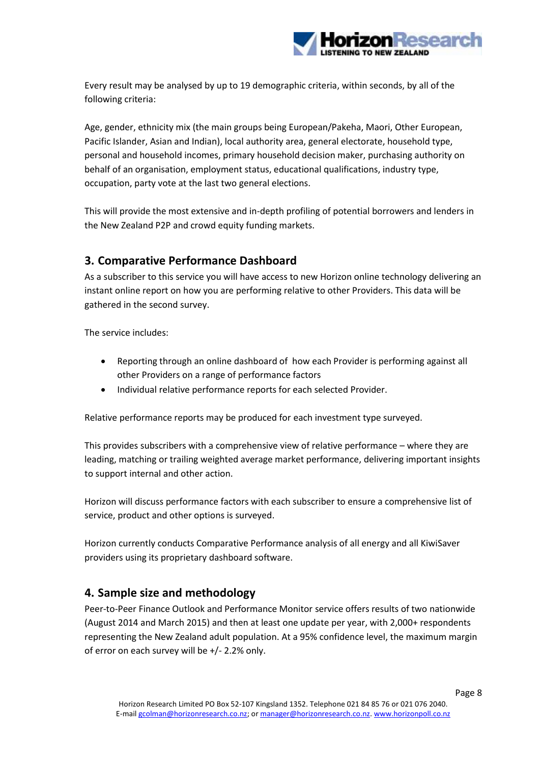

Every result may be analysed by up to 19 demographic criteria, within seconds, by all of the following criteria:

Age, gender, ethnicity mix (the main groups being European/Pakeha, Maori, Other European, Pacific Islander, Asian and Indian), local authority area, general electorate, household type, personal and household incomes, primary household decision maker, purchasing authority on behalf of an organisation, employment status, educational qualifications, industry type, occupation, party vote at the last two general elections.

This will provide the most extensive and in-depth profiling of potential borrowers and lenders in the New Zealand P2P and crowd equity funding markets.

## <span id="page-9-0"></span>**3. Comparative Performance Dashboard**

As a subscriber to this service you will have access to new Horizon online technology delivering an instant online report on how you are performing relative to other Providers. This data will be gathered in the second survey.

The service includes:

- Reporting through an online dashboard of how each Provider is performing against all other Providers on a range of performance factors
- Individual relative performance reports for each selected Provider.

Relative performance reports may be produced for each investment type surveyed.

This provides subscribers with a comprehensive view of relative performance – where they are leading, matching or trailing weighted average market performance, delivering important insights to support internal and other action.

Horizon will discuss performance factors with each subscriber to ensure a comprehensive list of service, product and other options is surveyed.

Horizon currently conducts Comparative Performance analysis of all energy and all KiwiSaver providers using its proprietary dashboard software.

## <span id="page-9-1"></span>**4. Sample size and methodology**

Peer-to-Peer Finance Outlook and Performance Monitor service offers results of two nationwide (August 2014 and March 2015) and then at least one update per year, with 2,000+ respondents representing the New Zealand adult population. At a 95% confidence level, the maximum margin of error on each survey will be +/- 2.2% only.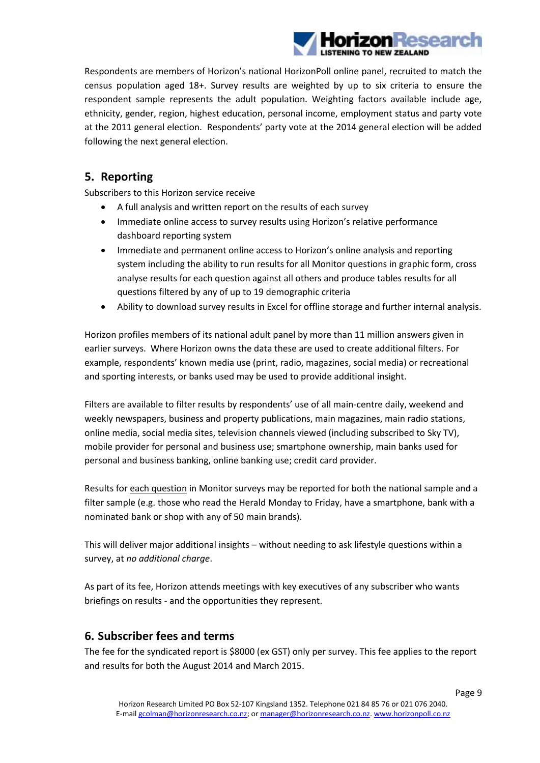

Respondents are members of Horizon's national HorizonPoll online panel, recruited to match the census population aged 18+. Survey results are weighted by up to six criteria to ensure the respondent sample represents the adult population. Weighting factors available include age, ethnicity, gender, region, highest education, personal income, employment status and party vote at the 2011 general election. Respondents' party vote at the 2014 general election will be added following the next general election.

## <span id="page-10-0"></span>**5. Reporting**

Subscribers to this Horizon service receive

- A full analysis and written report on the results of each survey
- Immediate online access to survey results using Horizon's relative performance dashboard reporting system
- Immediate and permanent online access to Horizon's online analysis and reporting system including the ability to run results for all Monitor questions in graphic form, cross analyse results for each question against all others and produce tables results for all questions filtered by any of up to 19 demographic criteria
- Ability to download survey results in Excel for offline storage and further internal analysis.

Horizon profiles members of its national adult panel by more than 11 million answers given in earlier surveys. Where Horizon owns the data these are used to create additional filters. For example, respondents' known media use (print, radio, magazines, social media) or recreational and sporting interests, or banks used may be used to provide additional insight.

Filters are available to filter results by respondents' use of all main-centre daily, weekend and weekly newspapers, business and property publications, main magazines, main radio stations, online media, social media sites, television channels viewed (including subscribed to Sky TV), mobile provider for personal and business use; smartphone ownership, main banks used for personal and business banking, online banking use; credit card provider.

Results for each question in Monitor surveys may be reported for both the national sample and a filter sample (e.g. those who read the Herald Monday to Friday, have a smartphone, bank with a nominated bank or shop with any of 50 main brands).

This will deliver major additional insights – without needing to ask lifestyle questions within a survey, at *no additional charge*.

As part of its fee, Horizon attends meetings with key executives of any subscriber who wants briefings on results - and the opportunities they represent.

## <span id="page-10-1"></span>**6. Subscriber fees and terms**

The fee for the syndicated report is \$8000 (ex GST) only per survey. This fee applies to the report and results for both the August 2014 and March 2015.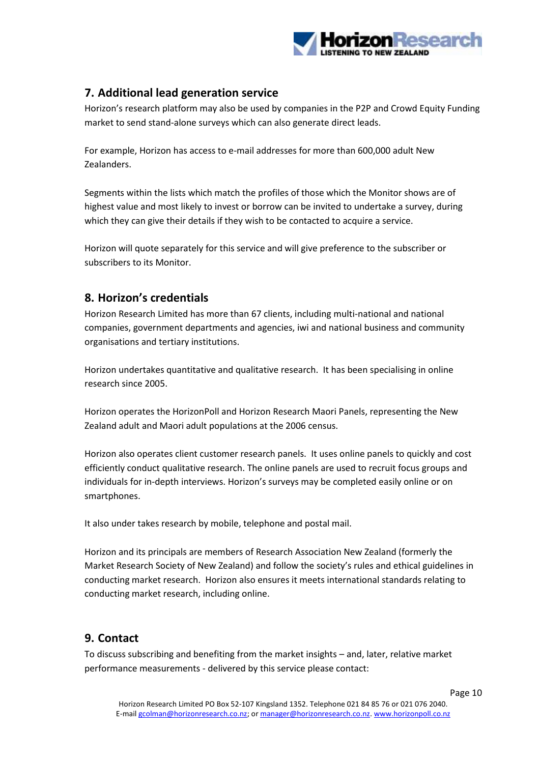

## <span id="page-11-0"></span>**7. Additional lead generation service**

Horizon's research platform may also be used by companies in the P2P and Crowd Equity Funding market to send stand-alone surveys which can also generate direct leads.

For example, Horizon has access to e-mail addresses for more than 600,000 adult New Zealanders.

Segments within the lists which match the profiles of those which the Monitor shows are of highest value and most likely to invest or borrow can be invited to undertake a survey, during which they can give their details if they wish to be contacted to acquire a service.

Horizon will quote separately for this service and will give preference to the subscriber or subscribers to its Monitor.

## <span id="page-11-1"></span>**8. Horizon's credentials**

Horizon Research Limited has more than 67 clients, including multi-national and national companies, government departments and agencies, iwi and national business and community organisations and tertiary institutions.

Horizon undertakes quantitative and qualitative research. It has been specialising in online research since 2005.

Horizon operates the HorizonPoll and Horizon Research Maori Panels, representing the New Zealand adult and Maori adult populations at the 2006 census.

Horizon also operates client customer research panels. It uses online panels to quickly and cost efficiently conduct qualitative research. The online panels are used to recruit focus groups and individuals for in-depth interviews. Horizon's surveys may be completed easily online or on smartphones.

It also under takes research by mobile, telephone and postal mail.

Horizon and its principals are members of Research Association New Zealand (formerly the Market Research Society of New Zealand) and follow the society's rules and ethical guidelines in conducting market research. Horizon also ensures it meets international standards relating to conducting market research, including online.

## <span id="page-11-2"></span>**9. Contact**

To discuss subscribing and benefiting from the market insights – and, later, relative market performance measurements - delivered by this service please contact: